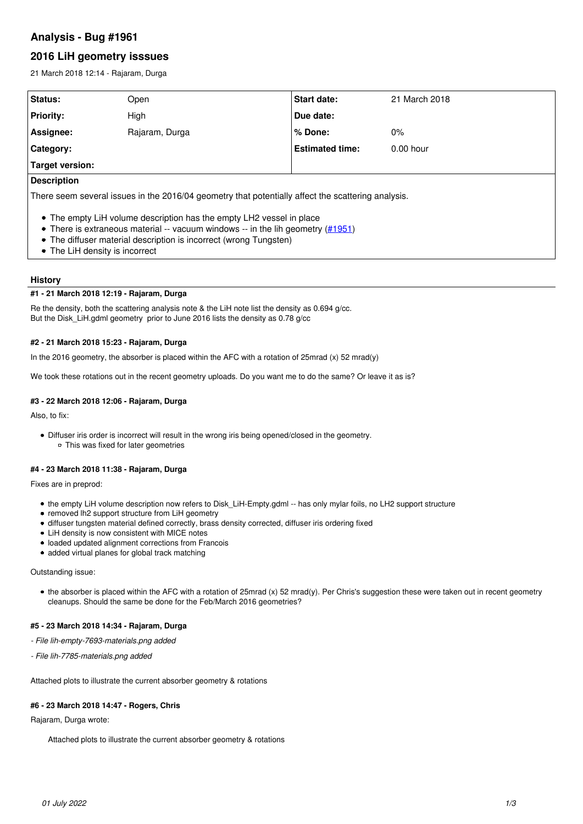# **Analysis - Bug #1961**

# **2016 LiH geometry isssues**

21 March 2018 12:14 - Rajaram, Durga

| Status:                                                                                            | Open           | <b>Start date:</b>     | 21 March 2018 |  |
|----------------------------------------------------------------------------------------------------|----------------|------------------------|---------------|--|
| <b>Priority:</b>                                                                                   | High           | Due date:              |               |  |
| Assignee:                                                                                          | Rajaram, Durga | % Done:                | $0\%$         |  |
| Category:                                                                                          |                | <b>Estimated time:</b> | $0.00$ hour   |  |
| Target version:                                                                                    |                |                        |               |  |
| <b>Description</b>                                                                                 |                |                        |               |  |
| There seem several issues in the 2016/04 geometry that potentially affect the scattering analysis. |                |                        |               |  |

- The empty LiH volume description has the empty LH2 vessel in place
- There is extraneous material  $-$  vacuum windows  $-$  in the lih geometry ( $\#1951$ )
- The diffuser material description is incorrect (wrong Tungsten)
- The LiH density is incorrect

# **History**

# **#1 - 21 March 2018 12:19 - Rajaram, Durga**

Re the density, both the scattering analysis note & the LiH note list the density as 0.694 g/cc. But the Disk\_LiH.gdml geometry prior to June 2016 lists the density as 0.78 g/cc

# **#2 - 21 March 2018 15:23 - Rajaram, Durga**

In the 2016 geometry, the absorber is placed within the AFC with a rotation of 25mrad (x) 52 mrad(y)

We took these rotations out in the recent geometry uploads. Do you want me to do the same? Or leave it as is?

# **#3 - 22 March 2018 12:06 - Rajaram, Durga**

Also, to fix:

Diffuser iris order is incorrect will result in the wrong iris being opened/closed in the geometry. This was fixed for later geometries

## **#4 - 23 March 2018 11:38 - Rajaram, Durga**

Fixes are in preprod:

- the empty LiH volume description now refers to Disk\_LiH-Empty.gdml -- has only mylar foils, no LH2 support structure
- removed lh2 support structure from LiH geometry
- diffuser tungsten material defined correctly, brass density corrected, diffuser iris ordering fixed
- LiH density is now consistent with MICE notes
- loaded updated alignment corrections from Francois
- added virtual planes for global track matching

### Outstanding issue:

the absorber is placed within the AFC with a rotation of 25mrad (x) 52 mrad(y). Per Chris's suggestion these were taken out in recent geometry cleanups. Should the same be done for the Feb/March 2016 geometries?

# **#5 - 23 March 2018 14:34 - Rajaram, Durga**

*- File lih-empty-7693-materials.png added*

*- File lih-7785-materials.png added*

Attached plots to illustrate the current absorber geometry & rotations

### **#6 - 23 March 2018 14:47 - Rogers, Chris**

Rajaram, Durga wrote:

Attached plots to illustrate the current absorber geometry & rotations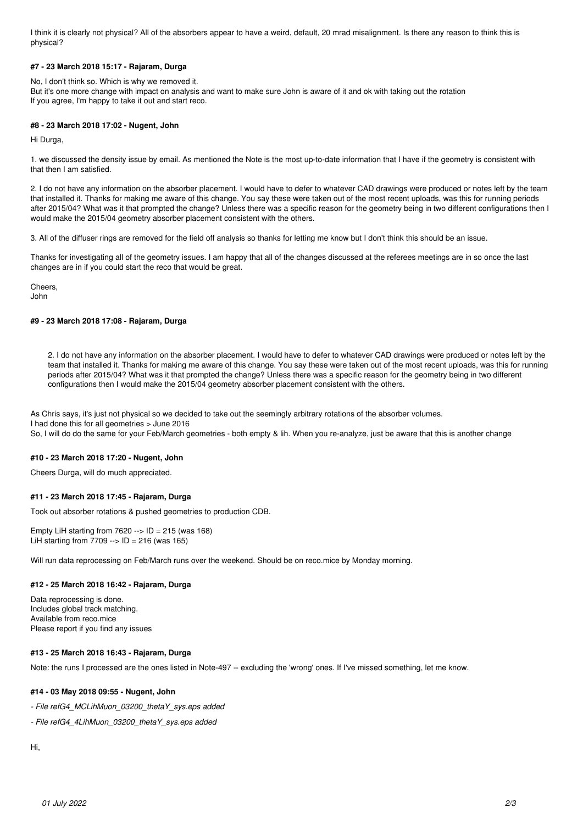I think it is clearly not physical? All of the absorbers appear to have a weird, default, 20 mrad misalignment. Is there any reason to think this is physical?

# **#7 - 23 March 2018 15:17 - Rajaram, Durga**

No, I don't think so. Which is why we removed it. But it's one more change with impact on analysis and want to make sure John is aware of it and ok with taking out the rotation If you agree, I'm happy to take it out and start reco.

## **#8 - 23 March 2018 17:02 - Nugent, John**

Hi Durga,

1. we discussed the density issue by email. As mentioned the Note is the most up-to-date information that I have if the geometry is consistent with that then I am satisfied.

2. I do not have any information on the absorber placement. I would have to defer to whatever CAD drawings were produced or notes left by the team that installed it. Thanks for making me aware of this change. You say these were taken out of the most recent uploads, was this for running periods after 2015/04? What was it that prompted the change? Unless there was a specific reason for the geometry being in two different configurations then I would make the 2015/04 geometry absorber placement consistent with the others.

3. All of the diffuser rings are removed for the field off analysis so thanks for letting me know but I don't think this should be an issue.

Thanks for investigating all of the geometry issues. I am happy that all of the changes discussed at the referees meetings are in so once the last changes are in if you could start the reco that would be great.

Cheers, John

# **#9 - 23 March 2018 17:08 - Rajaram, Durga**

2. I do not have any information on the absorber placement. I would have to defer to whatever CAD drawings were produced or notes left by the team that installed it. Thanks for making me aware of this change. You say these were taken out of the most recent uploads, was this for running periods after 2015/04? What was it that prompted the change? Unless there was a specific reason for the geometry being in two different configurations then I would make the 2015/04 geometry absorber placement consistent with the others.

As Chris says, it's just not physical so we decided to take out the seemingly arbitrary rotations of the absorber volumes. I had done this for all geometries > June 2016 So, I will do do the same for your Feb/March geometries - both empty & lih. When you re-analyze, just be aware that this is another change

### **#10 - 23 March 2018 17:20 - Nugent, John**

Cheers Durga, will do much appreciated.

# **#11 - 23 March 2018 17:45 - Rajaram, Durga**

Took out absorber rotations & pushed geometries to production CDB.

Empty LiH starting from  $7620 \rightarrow$  ID = 215 (was 168) LiH starting from  $7709 \rightarrow$  ID = 216 (was 165)

Will run data reprocessing on Feb/March runs over the weekend. Should be on reco.mice by Monday morning.

# **#12 - 25 March 2018 16:42 - Rajaram, Durga**

Data reprocessing is done. Includes global track matching. Available from reco.mice Please report if you find any issues

### **#13 - 25 March 2018 16:43 - Rajaram, Durga**

Note: the runs I processed are the ones listed in Note-497 -- excluding the 'wrong' ones. If I've missed something, let me know.

# **#14 - 03 May 2018 09:55 - Nugent, John**

*- File refG4\_MCLihMuon\_03200\_thetaY\_sys.eps added*

*- File refG4\_4LihMuon\_03200\_thetaY\_sys.eps added*